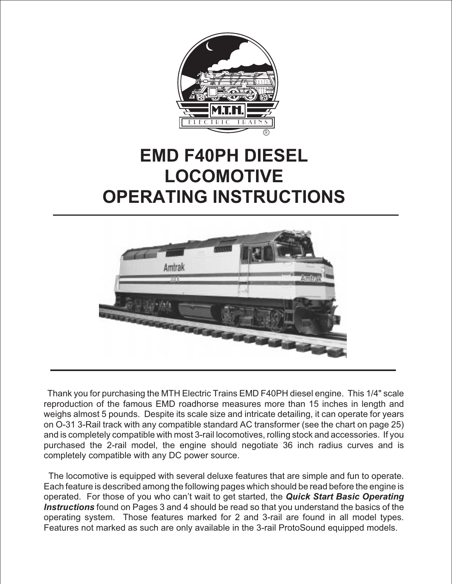

## **EMD F40PH DIESEL LOCOMOTIVE OPERATING INSTRUCTIONS**



Thank you for purchasing the MTH Electric Trains EMD F40PH diesel engine. This 1/4" scale reproduction of the famous EMD roadhorse measures more than 15 inches in length and weighs almost 5 pounds. Despite its scale size and intricate detailing, it can operate for years on O-31 3-Rail track with any compatible standard AC transformer (see the chart on page 25) and is completely compatible with most 3-rail locomotives, rolling stock and accessories. If you purchased the 2-rail model, the engine should negotiate 36 inch radius curves and is completely compatible with any DC power source.

The locomotive is equipped with several deluxe features that are simple and fun to operate. Each feature is described among the following pages which should be read before the engine is operated. For those of you who can't wait to get started, the **Quick Start Basic Operating Instructions** found on Pages 3 and 4 should be read so that you understand the basics of the operating system. Those features marked for 2 and 3-rail are found in all model types. Features not marked as such are only available in the 3-rail ProtoSound equipped models.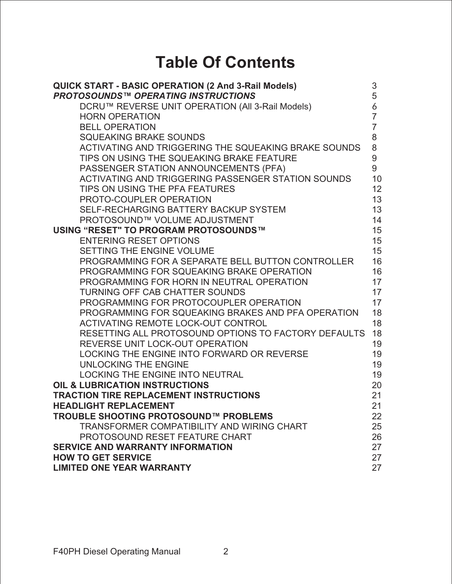## **Table Of Contents**

| QUICK START - BASIC OPERATION (2 And 3-Rail Models)<br><b>PROTOSOUNDS™ OPERATING INSTRUCTIONS</b> | 3<br>5           |
|---------------------------------------------------------------------------------------------------|------------------|
| DCRU™ REVERSE UNIT OPERATION (All 3-Rail Models)                                                  | 6                |
| <b>HORN OPERATION</b>                                                                             | $\overline{7}$   |
| <b>BELL OPERATION</b>                                                                             | $\overline{7}$   |
| <b>SQUEAKING BRAKE SOUNDS</b>                                                                     | 8                |
| ACTIVATING AND TRIGGERING THE SQUEAKING BRAKE SOUNDS                                              | 8                |
| TIPS ON USING THE SQUEAKING BRAKE FEATURE                                                         | $\boldsymbol{9}$ |
| PASSENGER STATION ANNOUNCEMENTS (PFA)                                                             | 9                |
| ACTIVATING AND TRIGGERING PASSENGER STATION SOUNDS                                                | 10               |
| TIPS ON USING THE PFA FEATURES                                                                    | 12               |
| PROTO-COUPLER OPERATION                                                                           | 13               |
| SELF-RECHARGING BATTERY BACKUP SYSTEM                                                             | 13               |
| PROTOSOUND™ VOLUME ADJUSTMENT                                                                     | 14               |
| USING "RESET" TO PROGRAM PROTOSOUNDS™                                                             | 15               |
| <b>ENTERING RESET OPTIONS</b>                                                                     | 15               |
| SETTING THE ENGINE VOLUME                                                                         | 15               |
| PROGRAMMING FOR A SEPARATE BELL BUTTON CONTROLLER                                                 | 16               |
| PROGRAMMING FOR SQUEAKING BRAKE OPERATION                                                         | 16               |
| PROGRAMMING FOR HORN IN NEUTRAL OPERATION                                                         | 17               |
| <b>TURNING OFF CAB CHATTER SOUNDS</b>                                                             | 17               |
| PROGRAMMING FOR PROTOCOUPLER OPERATION                                                            | 17               |
| PROGRAMMING FOR SQUEAKING BRAKES AND PFA OPERATION                                                | 18               |
| <b>ACTIVATING REMOTE LOCK-OUT CONTROL</b>                                                         | 18               |
| RESETTING ALL PROTOSOUND OPTIONS TO FACTORY DEFAULTS                                              | 18               |
| REVERSE UNIT LOCK-OUT OPERATION                                                                   | 19               |
| LOCKING THE ENGINE INTO FORWARD OR REVERSE                                                        | 19               |
| UNLOCKING THE ENGINE                                                                              | 19               |
| <b>LOCKING THE ENGINE INTO NEUTRAL</b>                                                            | 19               |
| <b>OIL &amp; LUBRICATION INSTRUCTIONS</b>                                                         | 20               |
| <b>TRACTION TIRE REPLACEMENT INSTRUCTIONS</b>                                                     | 21               |
| <b>HEADLIGHT REPLACEMENT</b>                                                                      | 21               |
| <b>TROUBLE SHOOTING PROTOSOUND™ PROBLEMS</b>                                                      | 22               |
| <b>TRANSFORMER COMPATIBILITY AND WIRING CHART</b>                                                 | 25               |
| PROTOSOUND RESET FEATURE CHART                                                                    | 26               |
| <b>SERVICE AND WARRANTY INFORMATION</b>                                                           | 27               |
| <b>HOW TO GET SERVICE</b>                                                                         | 27               |
| <b>LIMITED ONE YEAR WARRANTY</b>                                                                  | 27               |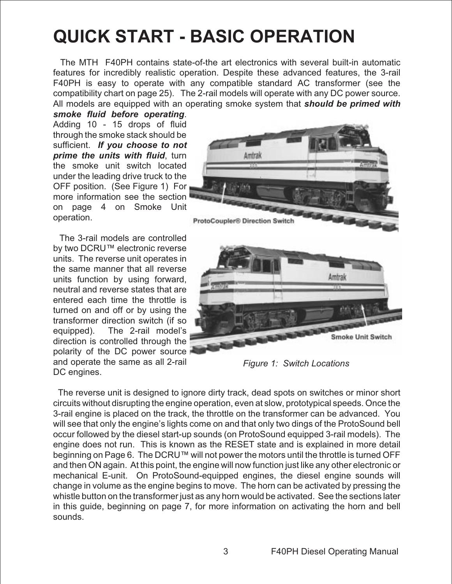## **QUICK START - BASIC OPERATION**

The MTH F40PH contains state-of-the art electronics with several built-in automatic features for incredibly realistic operation. Despite these advanced features, the 3-rail F40PH is easy to operate with any compatible standard AC transformer (see the compatibility chart on page 25). The 2-rail models will operate with any DC power source. All models are equipped with an operating smoke system that **should be primed with**

**smoke fluid before operating**. Adding 10 - 15 drops of fluid through the smoke stack should be sufficient. **If you choose to not prime the units with fluid**, turn the smoke unit switch located under the leading drive truck to the OFF position. (See Figure 1) For more information see the section on page 4 on Smoke Unit operation.

The 3-rail models are controlled by two DCRU™ electronic reverse units. The reverse unit operates in the same manner that all reverse units function by using forward, neutral and reverse states that are entered each time the throttle is turned on and off or by using the transformer direction switch (if so equipped). The 2-rail model's direction is controlled through the polarity of the DC power source and operate the same as all 2-rail DC engines.



*Figure 1: Switch Locations*

The reverse unit is designed to ignore dirty track, dead spots on switches or minor short circuits without disrupting the engine operation, even at slow, prototypical speeds. Once the 3-rail engine is placed on the track, the throttle on the transformer can be advanced. You will see that only the engine's lights come on and that only two dings of the ProtoSound bell occur followed by the diesel start-up sounds (on ProtoSound equipped 3-rail models). The engine does not run. This is known as the RESET state and is explained in more detail beginning on Page 6. The DCRU™ will not power the motors until the throttle is turned OFF and then ON again. At this point, the engine will now function just like any other electronic or mechanical E-unit. On ProtoSound-equipped engines, the diesel engine sounds will change in volume as the engine begins to move. The horn can be activated by pressing the whistle button on the transformer just as any horn would be activated. See the sections later in this guide, beginning on page 7, for more information on activating the horn and bell sounds.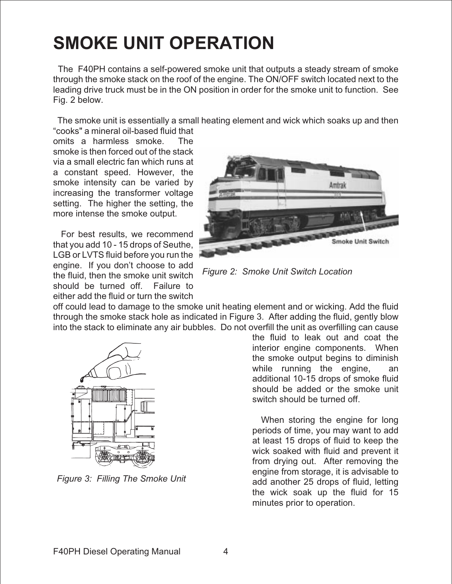## **SMOKE UNIT OPERATION**

The F40PH contains a self-powered smoke unit that outputs a steady stream of smoke through the smoke stack on the roof of the engine. The ON/OFF switch located next to the leading drive truck must be in the ON position in order for the smoke unit to function. See Fig. 2 below.

The smoke unit is essentially a small heating element and wick which soaks up and then

"cooks" a mineral oil-based fluid that omits a harmless smoke. The smoke is then forced out of the stack via a small electric fan which runs at a constant speed. However, the smoke intensity can be varied by increasing the transformer voltage setting. The higher the setting, the more intense the smoke output.

For best results, we recommend that you add 10 - 15 drops of Seuthe, LGB or LVTS fluid before you run the engine. If you don't choose to add the fluid, then the smoke unit switch should be turned off. Failure to either add the fluid or turn the switch



*Figure 2: Smoke Unit Switch Location*

off could lead to damage to the smoke unit heating element and or wicking. Add the fluid through the smoke stack hole as indicated in Figure 3. After adding the fluid, gently blow into the stack to eliminate any air bubbles. Do not overfill the unit as overfilling can cause



*Figure 3: Filling The Smoke Unit*

the fluid to leak out and coat the interior engine components. When the smoke output begins to diminish while running the engine, an additional 10-15 drops of smoke fluid should be added or the smoke unit switch should be turned off.

When storing the engine for long periods of time, you may want to add at least 15 drops of fluid to keep the wick soaked with fluid and prevent it from drying out. After removing the engine from storage, it is advisable to add another 25 drops of fluid, letting the wick soak up the fluid for 15 minutes prior to operation.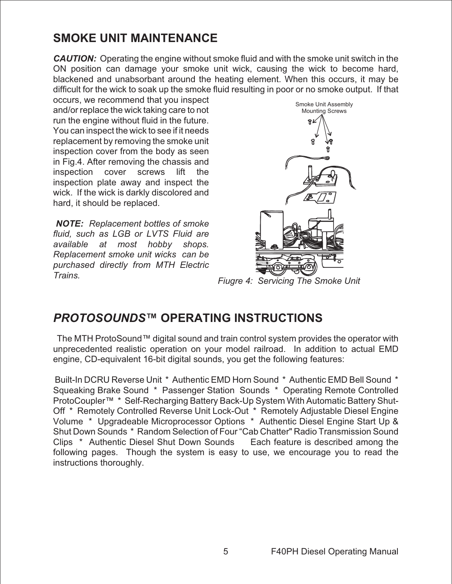## **SMOKE UNIT MAINTENANCE**

**CAUTION:** Operating the engine without smoke fluid and with the smoke unit switch in the ON position can damage your smoke unit wick, causing the wick to become hard, blackened and unabsorbant around the heating element. When this occurs, it may be difficult for the wick to soak up the smoke fluid resulting in poor or no smoke output. If that

occurs, we recommend that you inspect and/or replace the wick taking care to not run the engine without fluid in the future. You can inspect the wick to see if it needs replacement by removing the smoke unit inspection cover from the body as seen in Fig.4. After removing the chassis and inspection cover screws lift the inspection plate away and inspect the wick. If the wick is darkly discolored and hard, it should be replaced.

**NOTE:** *Replacement bottles of smoke fluid, such as LGB or LVTS Fluid are available at most hobby shops. Replacement smoke unit wicks can be purchased directly from MTH Electric Trains.*



*Fiugre 4: Servicing The Smoke Unit*

## **PROTOSOUNDS™ OPERATING INSTRUCTIONS**

The MTH ProtoSound™ digital sound and train control system provides the operator with unprecedented realistic operation on your model railroad. In addition to actual EMD engine, CD-equivalent 16-bit digital sounds, you get the following features:

Built-In DCRU Reverse Unit \* Authentic EMD Horn Sound \* Authentic EMD Bell Sound \* Squeaking Brake Sound \* Passenger Station Sounds \* Operating Remote Controlled ProtoCoupler™ \* Self-Recharging Battery Back-Up System With Automatic Battery Shut-Off \* Remotely Controlled Reverse Unit Lock-Out \* Remotely Adjustable Diesel Engine Volume \* Upgradeable Microprocessor Options \* Authentic Diesel Engine Start Up & Shut Down Sounds \* Random Selection of Four "Cab Chatter" Radio Transmission Sound Clips \* Authentic Diesel Shut Down Sounds Each feature is described among the following pages. Though the system is easy to use, we encourage you to read the instructions thoroughly.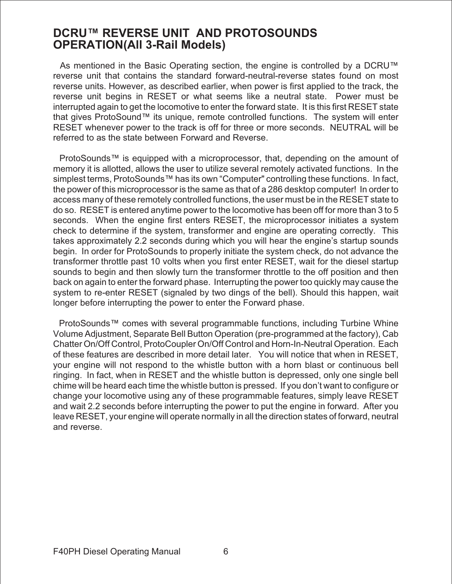### **DCRU™ REVERSE UNIT AND PROTOSOUNDS OPERATION(All 3-Rail Models)**

As mentioned in the Basic Operating section, the engine is controlled by a DCRU™ reverse unit that contains the standard forward-neutral-reverse states found on most reverse units. However, as described earlier, when power is first applied to the track, the reverse unit begins in RESET or what seems like a neutral state. Power must be interrupted again to get the locomotive to enter the forward state. It is this first RESET state that gives ProtoSound™ its unique, remote controlled functions. The system will enter RESET whenever power to the track is off for three or more seconds. NEUTRAL will be referred to as the state between Forward and Reverse.

ProtoSounds™ is equipped with a microprocessor, that, depending on the amount of memory it is allotted, allows the user to utilize several remotely activated functions. In the simplest terms, ProtoSounds™ has its own "Computer" controlling these functions. In fact, the power of this microprocessor is the same as that of a 286 desktop computer! In order to access many of these remotely controlled functions, the user must be in the RESET state to do so. RESET is entered anytime power to the locomotive has been off for more than 3 to 5 seconds. When the engine first enters RESET, the microprocessor initiates a system check to determine if the system, transformer and engine are operating correctly. This takes approximately 2.2 seconds during which you will hear the engine's startup sounds begin. In order for ProtoSounds to properly initiate the system check, do not advance the transformer throttle past 10 volts when you first enter RESET, wait for the diesel startup sounds to begin and then slowly turn the transformer throttle to the off position and then back on again to enter the forward phase. Interrupting the power too quickly may cause the system to re-enter RESET (signaled by two dings of the bell). Should this happen, wait longer before interrupting the power to enter the Forward phase.

ProtoSounds™ comes with several programmable functions, including Turbine Whine Volume Adjustment, Separate Bell Button Operation (pre-programmed at the factory), Cab Chatter On/Off Control, ProtoCoupler On/Off Control and Horn-In-Neutral Operation. Each of these features are described in more detail later. You will notice that when in RESET, your engine will not respond to the whistle button with a horn blast or continuous bell ringing. In fact, when in RESET and the whistle button is depressed, only one single bell chime will be heard each time the whistle button is pressed. If you don't want to configure or change your locomotive using any of these programmable features, simply leave RESET and wait 2.2 seconds before interrupting the power to put the engine in forward. After you leave RESET, your engine will operate normally in all the direction states of forward, neutral and reverse.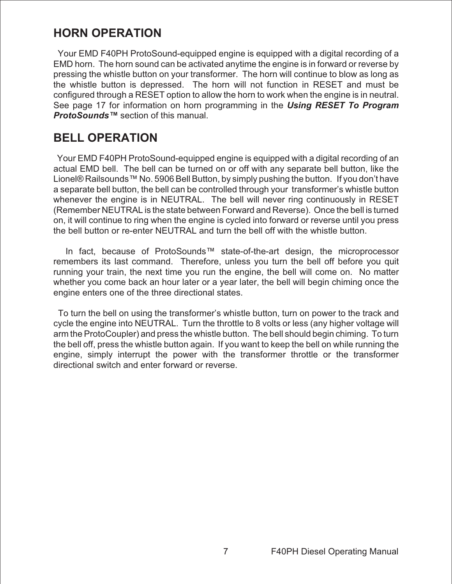## **HORN OPERATION**

Your EMD F40PH ProtoSound-equipped engine is equipped with a digital recording of a EMD horn. The horn sound can be activated anytime the engine is in forward or reverse by pressing the whistle button on your transformer. The horn will continue to blow as long as the whistle button is depressed. The horn will not function in RESET and must be configured through a RESET option to allow the horn to work when the engine is in neutral. See page 17 for information on horn programming in the **Using RESET To Program ProtoSounds™** section of this manual.

## **BELL OPERATION**

Your EMD F40PH ProtoSound-equipped engine is equipped with a digital recording of an actual EMD bell. The bell can be turned on or off with any separate bell button, like the Lionel® Railsounds™ No. 5906 Bell Button, by simply pushing the button. If you don't have a separate bell button, the bell can be controlled through your transformer's whistle button whenever the engine is in NEUTRAL. The bell will never ring continuously in RESET (Remember NEUTRAL is the state between Forward and Reverse). Once the bell is turned on, it will continue to ring when the engine is cycled into forward or reverse until you press the bell button or re-enter NEUTRAL and turn the bell off with the whistle button.

In fact, because of ProtoSounds™ state-of-the-art design, the microprocessor remembers its last command. Therefore, unless you turn the bell off before you quit running your train, the next time you run the engine, the bell will come on. No matter whether you come back an hour later or a year later, the bell will begin chiming once the engine enters one of the three directional states.

To turn the bell on using the transformer's whistle button, turn on power to the track and cycle the engine into NEUTRAL. Turn the throttle to 8 volts or less (any higher voltage will arm the ProtoCoupler) and press the whistle button. The bell should begin chiming. To turn the bell off, press the whistle button again. If you want to keep the bell on while running the engine, simply interrupt the power with the transformer throttle or the transformer directional switch and enter forward or reverse.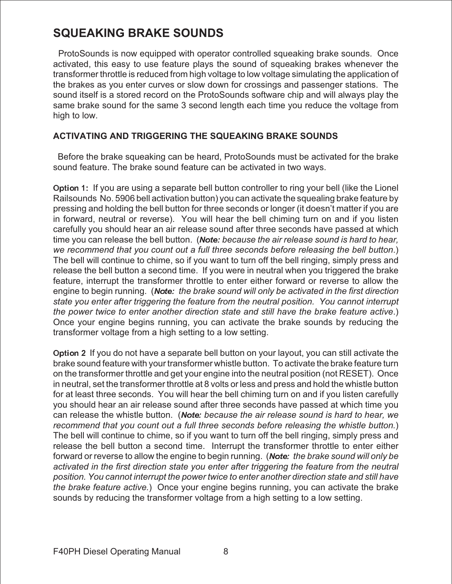## **SQUEAKING BRAKE SOUNDS**

ProtoSounds is now equipped with operator controlled squeaking brake sounds. Once activated, this easy to use feature plays the sound of squeaking brakes whenever the transformer throttle is reduced from high voltage to low voltage simulating the application of the brakes as you enter curves or slow down for crossings and passenger stations. The sound itself is a stored record on the ProtoSounds software chip and will always play the same brake sound for the same 3 second length each time you reduce the voltage from high to low.

#### **ACTIVATING AND TRIGGERING THE SQUEAKING BRAKE SOUNDS**

Before the brake squeaking can be heard, ProtoSounds must be activated for the brake sound feature. The brake sound feature can be activated in two ways.

Option 1: If you are using a separate bell button controller to ring your bell (like the Lionel Railsounds No. 5906 bell activation button) you can activate the squealing brake feature by pressing and holding the bell button for three seconds or longer (it doesn't matter if you are in forward, neutral or reverse). You will hear the bell chiming turn on and if you listen carefully you should hear an air release sound after three seconds have passed at which time you can release the bell button. (Note: *because the air release sound is hard to hear, we recommend that you count out a full three seconds before releasing the bell button*.) The bell will continue to chime, so if you want to turn off the bell ringing, simply press and release the bell button a second time. If you were in neutral when you triggered the brake feature, interrupt the transformer throttle to enter either forward or reverse to allow the engine to begin running. (Note: *the brake sound will only be activated in the first direction state you enter after triggering the feature from the neutral position. You cannot interrupt the power twice to enter another direction state and still have the brake feature active*.) Once your engine begins running, you can activate the brake sounds by reducing the transformer voltage from a high setting to a low setting.

Option 2 If you do not have a separate bell button on your layout, you can still activate the brake sound feature with your transformer whistle button. To activate the brake feature turn on the transformer throttle and get your engine into the neutral position (not RESET). Once in neutral, set the transformer throttle at 8 volts or less and press and hold the whistle button for at least three seconds. You will hear the bell chiming turn on and if you listen carefully you should hear an air release sound after three seconds have passed at which time you can release the whistle button. (Note: *because the air release sound is hard to hear, we recommend that you count out a full three seconds before releasing the whistle button.*) The bell will continue to chime, so if you want to turn off the bell ringing, simply press and release the bell button a second time. Interrupt the transformer throttle to enter either forward or reverse to allow the engine to begin running. (Note: *the brake sound will only be activated in the first direction state you enter after triggering the feature from the neutral position. You cannot interrupt the power twice to enter another direction state and still have the brake feature active.*) Once your engine begins running, you can activate the brake sounds by reducing the transformer voltage from a high setting to a low setting.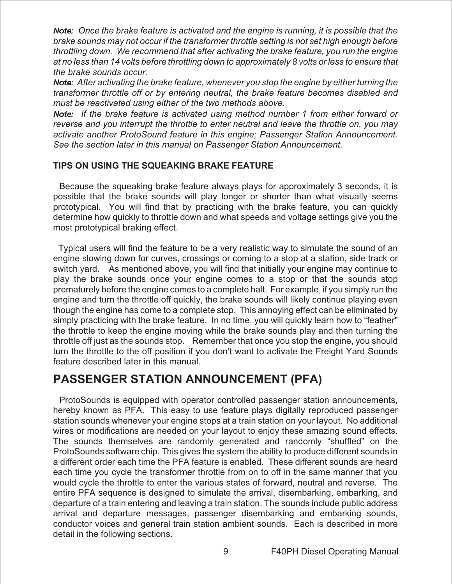Note: *Once the brake feature is activated and the engine is running, it is possible that the brake sounds may not occur if the transformer throttle setting is not set high enough before throttling down. We recommend that after activating the brake feature, you run the engine at no less than 14 volts before throttling down to approximately 8 volts or less to ensure that the brake sounds occur.*

Note: *After activating the brake feature, whenever you stop the engine by either turning the transformer throttle off or by entering neutral, the brake feature becomes disabled and must be reactivated using either of the two methods above.*

Note: *If the brake feature is activated using method number 1 from either forward or reverse and you interrupt the throttle to enter neutral and leave the throttle on, you may activate another ProtoSound feature in this engine; Passenger Station Announcement. See the section later in this manual on Passenger Station Announcement.*

#### **TIPS ON USING THE SQUEAKING BRAKE FEATURE**

Because the squeaking brake feature always plays for approximately 3 seconds, it is possible that the brake sounds will play longer or shorter than what visually seems prototypical. You will find that by practicing with the brake feature, you can quickly determine how quickly to throttle down and what speeds and voltage settings give you the most prototypical braking effect.

Typical users will find the feature to be a very realistic way to simulate the sound of an engine slowing down for curves, crossings or coming to a stop at a station, side track or switch yard. As mentioned above, you will find that initially your engine may continue to play the brake sounds once your engine comes to a stop or that the sounds stop prematurely before the engine comes to a complete halt. For example, if you simply run the engine and turn the throttle off quickly, the brake sounds will likely continue playing even though the engine has come to a complete stop. This annoying effect can be eliminated by simply practicing with the brake feature. In no time, you will quickly learn how to "feather" the throttle to keep the engine moving while the brake sounds play and then turning the throttle off just as the sounds stop. Remember that once you stop the engine, you should turn the throttle to the off position if you don't want to activate the Freight Yard Sounds feature described later in this manual.

### **PASSENGER STATION ANNOUNCEMENT (PFA)**

ProtoSounds is equipped with operator controlled passenger station announcements, hereby known as PFA. This easy to use feature plays digitally reproduced passenger station sounds whenever your engine stops at a train station on your layout. No additional wires or modifications are needed on your layout to enjoy these amazing sound effects. The sounds themselves are randomly generated and randomly "shuffled" on the ProtoSounds software chip. This gives the system the ability to produce different sounds in a different order each time the PFA feature is enabled. These different sounds are heard each time you cycle the transformer throttle from on to off in the same manner that you would cycle the throttle to enter the various states of forward, neutral and reverse. The entire PFA sequence is designed to simulate the arrival, disembarking, embarking, and departure of a train entering and leaving a train station. The sounds include public address arrival and departure messages, passenger disembarking and embarking sounds, conductor voices and general train station ambient sounds. Each is described in more detail in the following sections.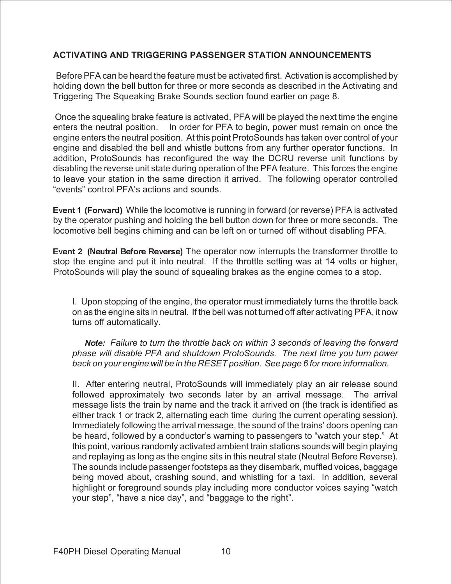#### **ACTIVATING AND TRIGGERING PASSENGER STATION ANNOUNCEMENTS**

Before PFA can be heard the feature must be activated first. Activation is accomplished by holding down the bell button for three or more seconds as described in the Activating and Triggering The Squeaking Brake Sounds section found earlier on page 8.

Once the squealing brake feature is activated, PFA will be played the next time the engine enters the neutral position. In order for PFA to begin, power must remain on once the engine enters the neutral position. At this point ProtoSounds has taken over control of your engine and disabled the bell and whistle buttons from any further operator functions. In addition, ProtoSounds has reconfigured the way the DCRU reverse unit functions by disabling the reverse unit state during operation of the PFA feature. This forces the engine to leave your station in the same direction it arrived. The following operator controlled "events" control PFA's actions and sounds.

Event 1 (Forward) While the locomotive is running in forward (or reverse) PFA is activated by the operator pushing and holding the bell button down for three or more seconds. The locomotive bell begins chiming and can be left on or turned off without disabling PFA.

Event 2 (Neutral Before Reverse) The operator now interrupts the transformer throttle to stop the engine and put it into neutral. If the throttle setting was at 14 volts or higher, ProtoSounds will play the sound of squealing brakes as the engine comes to a stop.

I. Upon stopping of the engine, the operator must immediately turns the throttle back on as the engine sits in neutral. If the bell was not turned off after activating PFA, it now turns off automatically.

Note: *Failure to turn the throttle back on within 3 seconds of leaving the forward phase will disable PFA and shutdown ProtoSounds. The next time you turn power back on your engine will be in the RESET position. See page 6 for more information.*

II. After entering neutral, ProtoSounds will immediately play an air release sound followed approximately two seconds later by an arrival message. The arrival message lists the train by name and the track it arrived on (the track is identified as either track 1 or track 2, alternating each time during the current operating session). Immediately following the arrival message, the sound of the trains' doors opening can be heard, followed by a conductor's warning to passengers to "watch your step." At this point, various randomly activated ambient train stations sounds will begin playing and replaying as long as the engine sits in this neutral state (Neutral Before Reverse). The sounds include passenger footsteps as they disembark, muffled voices, baggage being moved about, crashing sound, and whistling for a taxi. In addition, several highlight or foreground sounds play including more conductor voices saying "watch your step", "have a nice day", and "baggage to the right".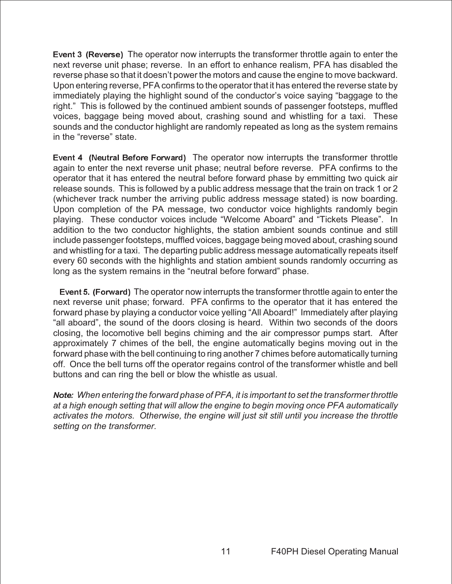Event 3 (Reverse) The operator now interrupts the transformer throttle again to enter the next reverse unit phase; reverse. In an effort to enhance realism, PFA has disabled the reverse phase so that it doesn't power the motors and cause the engine to move backward. Upon entering reverse, PFA confirms to the operator that it has entered the reverse state by immediately playing the highlight sound of the conductor's voice saying "baggage to the right." This is followed by the continued ambient sounds of passenger footsteps, muffled voices, baggage being moved about, crashing sound and whistling for a taxi. These sounds and the conductor highlight are randomly repeated as long as the system remains in the "reverse" state.

Event 4 (Neutral Before Forward) The operator now interrupts the transformer throttle again to enter the next reverse unit phase; neutral before reverse. PFA confirms to the operator that it has entered the neutral before forward phase by emmitting two quick air release sounds. This is followed by a public address message that the train on track 1 or 2 (whichever track number the arriving public address message stated) is now boarding. Upon completion of the PA message, two conductor voice highlights randomly begin playing. These conductor voices include "Welcome Aboard" and "Tickets Please". In addition to the two conductor highlights, the station ambient sounds continue and still include passenger footsteps, muffled voices, baggage being moved about, crashing sound and whistling for a taxi. The departing public address message automatically repeats itself every 60 seconds with the highlights and station ambient sounds randomly occurring as long as the system remains in the "neutral before forward" phase.

Event 5. (Forward) The operator now interrupts the transformer throttle again to enter the next reverse unit phase; forward. PFA confirms to the operator that it has entered the forward phase by playing a conductor voice yelling "All Aboard!" Immediately after playing "all aboard", the sound of the doors closing is heard. Within two seconds of the doors closing, the locomotive bell begins chiming and the air compressor pumps start. After approximately 7 chimes of the bell, the engine automatically begins moving out in the forward phase with the bell continuing to ring another 7 chimes before automatically turning off. Once the bell turns off the operator regains control of the transformer whistle and bell buttons and can ring the bell or blow the whistle as usual.

Note: *When entering the forward phase of PFA, it is important to set the transformer throttle at a high enough setting that will allow the engine to begin moving once PFA automatically activates the motors. Otherwise, the engine will just sit still until you increase the throttle setting on the transformer.*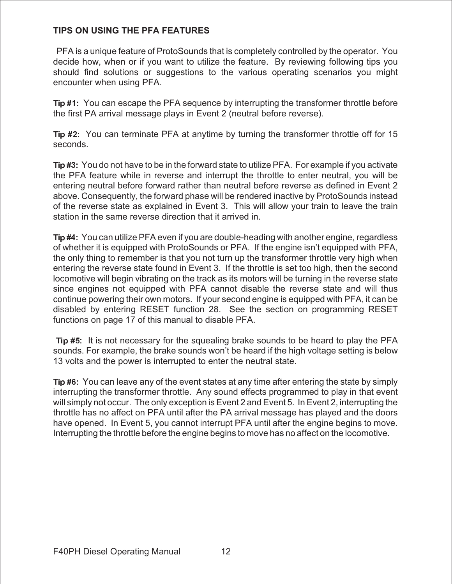#### **TIPS ON USING THE PFA FEATURES**

PFA is a unique feature of ProtoSounds that is completely controlled by the operator. You decide how, when or if you want to utilize the feature. By reviewing following tips you should find solutions or suggestions to the various operating scenarios you might encounter when using PFA.

Tip #1: You can escape the PFA sequence by interrupting the transformer throttle before the first PA arrival message plays in Event 2 (neutral before reverse).

Tip #2: You can terminate PFA at anytime by turning the transformer throttle off for 15 seconds.

Tip #3: You do not have to be in the forward state to utilize PFA. For example if you activate the PFA feature while in reverse and interrupt the throttle to enter neutral, you will be entering neutral before forward rather than neutral before reverse as defined in Event 2 above. Consequently, the forward phase will be rendered inactive by ProtoSounds instead of the reverse state as explained in Event 3. This will allow your train to leave the train station in the same reverse direction that it arrived in.

Tip #4: You can utilize PFA even if you are double-heading with another engine, regardless of whether it is equipped with ProtoSounds or PFA. If the engine isn't equipped with PFA, the only thing to remember is that you not turn up the transformer throttle very high when entering the reverse state found in Event 3. If the throttle is set too high, then the second locomotive will begin vibrating on the track as its motors will be turning in the reverse state since engines not equipped with PFA cannot disable the reverse state and will thus continue powering their own motors. If your second engine is equipped with PFA, it can be disabled by entering RESET function 28. See the section on programming RESET functions on page 17 of this manual to disable PFA.

Tip #5: It is not necessary for the squealing brake sounds to be heard to play the PFA sounds. For example, the brake sounds won't be heard if the high voltage setting is below 13 volts and the power is interrupted to enter the neutral state.

Tip #6: You can leave any of the event states at any time after entering the state by simply interrupting the transformer throttle. Any sound effects programmed to play in that event will simply not occur. The only exception is Event 2 and Event 5. In Event 2, interrupting the throttle has no affect on PFA until after the PA arrival message has played and the doors have opened. In Event 5, you cannot interrupt PFA until after the engine begins to move. Interrupting the throttle before the engine begins to move has no affect on the locomotive.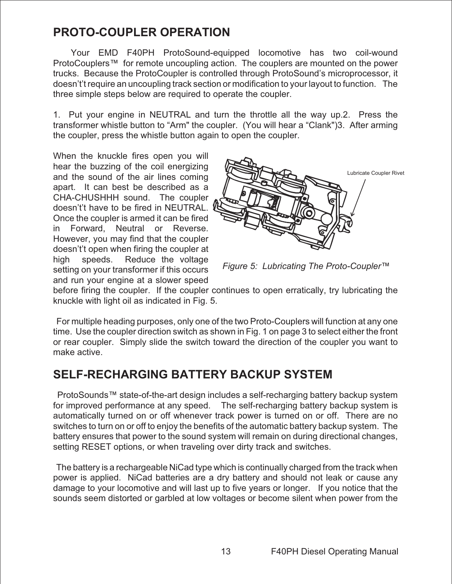## **PROTO-COUPLER OPERATION**

Your EMD F40PH ProtoSound-equipped locomotive has two coil-wound ProtoCouplers™ for remote uncoupling action. The couplers are mounted on the power trucks. Because the ProtoCoupler is controlled through ProtoSound's microprocessor, it doesn't't require an uncoupling track section or modification to your layout to function. The three simple steps below are required to operate the coupler.

1. Put your engine in NEUTRAL and turn the throttle all the way up.2. Press the transformer whistle button to "Arm" the coupler. (You will hear a "Clank")3. After arming the coupler, press the whistle button again to open the coupler.

When the knuckle fires open you will hear the buzzing of the coil energizing and the sound of the air lines coming apart. It can best be described as a CHA-CHUSHHH sound. The coupler doesn't't have to be fired in NEUTRAL. Once the coupler is armed it can be fired in Forward, Neutral or Reverse. However, you may find that the coupler doesn't't open when firing the coupler at high speeds. Reduce the voltage setting on your transformer if this occurs and run your engine at a slower speed



*Figure 5: Lubricating The Proto-Coupler™*

before firing the coupler. If the coupler continues to open erratically, try lubricating the knuckle with light oil as indicated in Fig. 5.

For multiple heading purposes, only one of the two Proto-Couplers will function at any one time. Use the coupler direction switch as shown in Fig. 1 on page 3 to select either the front or rear coupler. Simply slide the switch toward the direction of the coupler you want to make active.

## **SELF-RECHARGING BATTERY BACKUP SYSTEM**

ProtoSounds™ state-of-the-art design includes a self-recharging battery backup system for improved performance at any speed. The self-recharging battery backup system is automatically turned on or off whenever track power is turned on or off. There are no switches to turn on or off to enjoy the benefits of the automatic battery backup system. The battery ensures that power to the sound system will remain on during directional changes, setting RESET options, or when traveling over dirty track and switches.

The battery is a rechargeable NiCad type which is continually charged from the track when power is applied. NiCad batteries are a dry battery and should not leak or cause any damage to your locomotive and will last up to five years or longer. If you notice that the sounds seem distorted or garbled at low voltages or become silent when power from the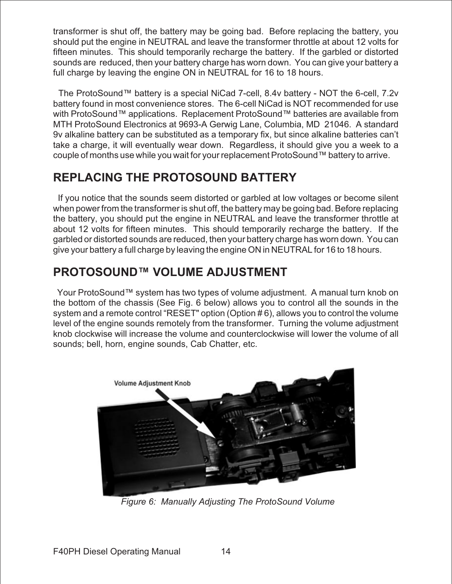transformer is shut off, the battery may be going bad. Before replacing the battery, you should put the engine in NEUTRAL and leave the transformer throttle at about 12 volts for fifteen minutes. This should temporarily recharge the battery. If the garbled or distorted sounds are reduced, then your battery charge has worn down. You can give your battery a full charge by leaving the engine ON in NEUTRAL for 16 to 18 hours.

The ProtoSound™ battery is a special NiCad 7-cell, 8.4v battery - NOT the 6-cell, 7.2v battery found in most convenience stores. The 6-cell NiCad is NOT recommended for use with ProtoSound™ applications. Replacement ProtoSound™ batteries are available from MTH ProtoSound Electronics at 9693-A Gerwig Lane, Columbia, MD 21046. A standard 9v alkaline battery can be substituted as a temporary fix, but since alkaline batteries can't take a charge, it will eventually wear down. Regardless, it should give you a week to a couple of months use while you wait for your replacement ProtoSound™ battery to arrive.

## **REPLACING THE PROTOSOUND BATTERY**

If you notice that the sounds seem distorted or garbled at low voltages or become silent when power from the transformer is shut off, the battery may be going bad. Before replacing the battery, you should put the engine in NEUTRAL and leave the transformer throttle at about 12 volts for fifteen minutes. This should temporarily recharge the battery. If the garbled or distorted sounds are reduced, then your battery charge has worn down. You can give your battery a full charge by leaving the engine ON in NEUTRAL for 16 to 18 hours.

## **PROTOSOUND™ VOLUME ADJUSTMENT**

Your ProtoSound™ system has two types of volume adjustment. A manual turn knob on the bottom of the chassis (See Fig. 6 below) allows you to control all the sounds in the system and a remote control "RESET" option (Option # 6), allows you to control the volume level of the engine sounds remotely from the transformer. Turning the volume adjustment knob clockwise will increase the volume and counterclockwise will lower the volume of all sounds; bell, horn, engine sounds, Cab Chatter, etc.



*Figure 6: Manually Adjusting The ProtoSound Volume*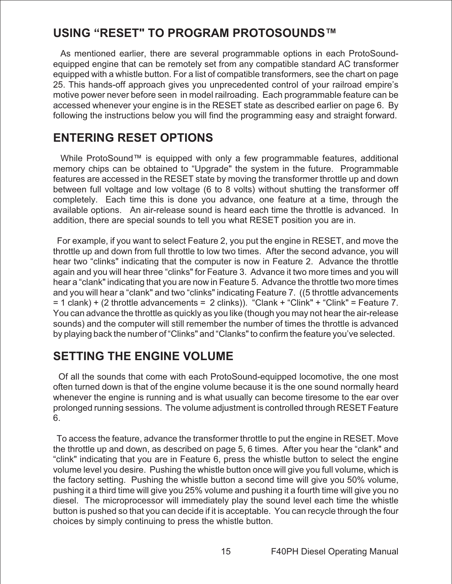## **USING "RESET" TO PROGRAM PROTOSOUNDS™**

As mentioned earlier, there are several programmable options in each ProtoSoundequipped engine that can be remotely set from any compatible standard AC transformer equipped with a whistle button. For a list of compatible transformers, see the chart on page 25. This hands-off approach gives you unprecedented control of your railroad empire's motive power never before seen in model railroading. Each programmable feature can be accessed whenever your engine is in the RESET state as described earlier on page 6. By following the instructions below you will find the programming easy and straight forward.

## **ENTERING RESET OPTIONS**

While ProtoSound™ is equipped with only a few programmable features, additional memory chips can be obtained to "Upgrade" the system in the future. Programmable features are accessed in the RESET state by moving the transformer throttle up and down between full voltage and low voltage (6 to 8 volts) without shutting the transformer off completely. Each time this is done you advance, one feature at a time, through the available options. An air-release sound is heard each time the throttle is advanced. In addition, there are special sounds to tell you what RESET position you are in.

For example, if you want to select Feature 2, you put the engine in RESET, and move the throttle up and down from full throttle to low two times. After the second advance, you will hear two "clinks" indicating that the computer is now in Feature 2. Advance the throttle again and you will hear three "clinks" for Feature 3. Advance it two more times and you will hear a "clank" indicating that you are now in Feature 5. Advance the throttle two more times and you will hear a "clank" and two "clinks" indicating Feature 7. ((5 throttle advancements  $= 1$  clank) + (2 throttle advancements = 2 clinks)). "Clank + "Clink" + "Clink" = Feature 7. You can advance the throttle as quickly as you like (though you may not hear the air-release sounds) and the computer will still remember the number of times the throttle is advanced by playing back the number of "Clinks" and "Clanks" to confirm the feature you've selected.

## **SETTING THE ENGINE VOLUME**

Of all the sounds that come with each ProtoSound-equipped locomotive, the one most often turned down is that of the engine volume because it is the one sound normally heard whenever the engine is running and is what usually can become tiresome to the ear over prolonged running sessions. The volume adjustment is controlled through RESET Feature 6.

To access the feature, advance the transformer throttle to put the engine in RESET. Move the throttle up and down, as described on page 5, 6 times. After you hear the "clank" and "clink" indicating that you are in Feature 6, press the whistle button to select the engine volume level you desire. Pushing the whistle button once will give you full volume, which is the factory setting. Pushing the whistle button a second time will give you 50% volume, pushing it a third time will give you 25% volume and pushing it a fourth time will give you no diesel. The microprocessor will immediately play the sound level each time the whistle button is pushed so that you can decide if it is acceptable. You can recycle through the four choices by simply continuing to press the whistle button.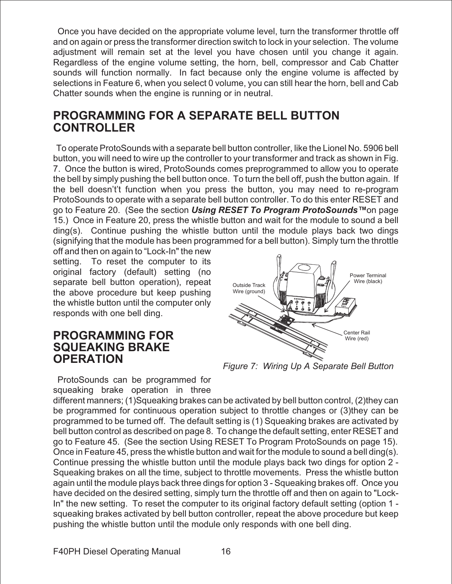Once you have decided on the appropriate volume level, turn the transformer throttle off and on again or press the transformer direction switch to lock in your selection. The volume adjustment will remain set at the level you have chosen until you change it again. Regardless of the engine volume setting, the horn, bell, compressor and Cab Chatter sounds will function normally. In fact because only the engine volume is affected by selections in Feature 6, when you select 0 volume, you can still hear the horn, bell and Cab Chatter sounds when the engine is running or in neutral.

### **PROGRAMMING FOR A SEPARATE BELL BUTTON CONTROLLER**

To operate ProtoSounds with a separate bell button controller, like the Lionel No. 5906 bell button, you will need to wire up the controller to your transformer and track as shown in Fig. 7. Once the button is wired, ProtoSounds comes preprogrammed to allow you to operate the bell by simply pushing the bell button once. To turn the bell off, push the button again. If the bell doesn't't function when you press the button, you may need to re-program ProtoSounds to operate with a separate bell button controller. To do this enter RESET and go to Feature 20. (See the section **Using RESET To Program ProtoSounds™**on page 15.) Once in Feature 20, press the whistle button and wait for the module to sound a bell ding(s). Continue pushing the whistle button until the module plays back two dings (signifying that the module has been programmed for a bell button). Simply turn the throttle

off and then on again to "Lock-In" the new setting. To reset the computer to its original factory (default) setting (no separate bell button operation), repeat the above procedure but keep pushing the whistle button until the computer only responds with one bell ding.

#### **PROGRAMMING FOR SQUEAKING BRAKE OPERATION**



ProtoSounds can be programmed for squeaking brake operation in three

different manners; (1)Squeaking brakes can be activated by bell button control, (2)they can be programmed for continuous operation subject to throttle changes or (3)they can be programmed to be turned off. The default setting is (1) Squeaking brakes are activated by bell button control as described on page 8. To change the default setting, enter RESET and go to Feature 45. (See the section Using RESET To Program ProtoSounds on page 15). Once in Feature 45, press the whistle button and wait for the module to sound a bell ding(s). Continue pressing the whistle button until the module plays back two dings for option 2 - Squeaking brakes on all the time, subject to throttle movements. Press the whistle button again until the module plays back three dings for option 3 - Squeaking brakes off. Once you have decided on the desired setting, simply turn the throttle off and then on again to "Lock-In" the new setting. To reset the computer to its original factory default setting (option 1 squeaking brakes activated by bell button controller, repeat the above procedure but keep pushing the whistle button until the module only responds with one bell ding.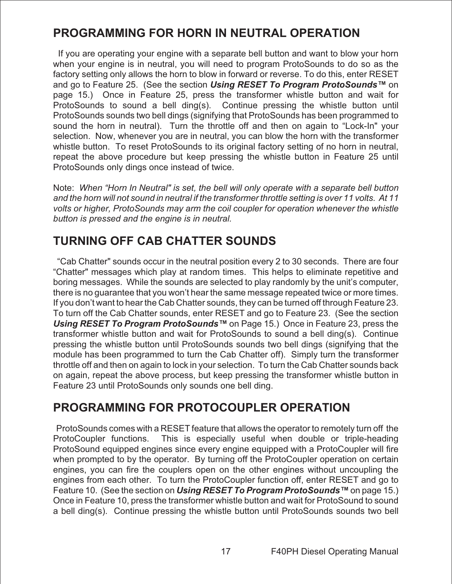## **PROGRAMMING FOR HORN IN NEUTRAL OPERATION**

If you are operating your engine with a separate bell button and want to blow your horn when your engine is in neutral, you will need to program ProtoSounds to do so as the factory setting only allows the horn to blow in forward or reverse. To do this, enter RESET and go to Feature 25. (See the section **Using RESET To Program ProtoSounds™** on page 15.) Once in Feature 25, press the transformer whistle button and wait for ProtoSounds to sound a bell ding(s). Continue pressing the whistle button until ProtoSounds sounds two bell dings (signifying that ProtoSounds has been programmed to sound the horn in neutral). Turn the throttle off and then on again to "Lock-In" your selection. Now, whenever you are in neutral, you can blow the horn with the transformer whistle button. To reset ProtoSounds to its original factory setting of no horn in neutral, repeat the above procedure but keep pressing the whistle button in Feature 25 until ProtoSounds only dings once instead of twice.

Note: *When "Horn In Neutral" is set, the bell will only operate with a separate bell button and the horn will not sound in neutral if the transformer throttle setting is over 11 volts. At 11 volts or higher, ProtoSounds may arm the coil coupler for operation whenever the whistle button is pressed and the engine is in neutral.*

## **TURNING OFF CAB CHATTER SOUNDS**

"Cab Chatter" sounds occur in the neutral position every 2 to 30 seconds. There are four "Chatter" messages which play at random times. This helps to eliminate repetitive and boring messages. While the sounds are selected to play randomly by the unit's computer, there is no guarantee that you won't hear the same message repeated twice or more times. If you don't want to hear the Cab Chatter sounds, they can be turned off through Feature 23. To turn off the Cab Chatter sounds, enter RESET and go to Feature 23. (See the section **Using RESET To Program ProtoSounds™** on Page 15.) Once in Feature 23, press the transformer whistle button and wait for ProtoSounds to sound a bell ding(s). Continue pressing the whistle button until ProtoSounds sounds two bell dings (signifying that the module has been programmed to turn the Cab Chatter off). Simply turn the transformer throttle off and then on again to lock in your selection. To turn the Cab Chatter sounds back on again, repeat the above process, but keep pressing the transformer whistle button in Feature 23 until ProtoSounds only sounds one bell ding.

### **PROGRAMMING FOR PROTOCOUPLER OPERATION**

ProtoSounds comes with a RESET feature that allows the operator to remotely turn off the ProtoCoupler functions. This is especially useful when double or triple-heading ProtoSound equipped engines since every engine equipped with a ProtoCoupler will fire when prompted to by the operator. By turning off the ProtoCoupler operation on certain engines, you can fire the couplers open on the other engines without uncoupling the engines from each other. To turn the ProtoCoupler function off, enter RESET and go to Feature 10. (See the section on **Using RESET To Program ProtoSounds™** on page 15.) Once in Feature 10, press the transformer whistle button and wait for ProtoSound to sound a bell ding(s). Continue pressing the whistle button until ProtoSounds sounds two bell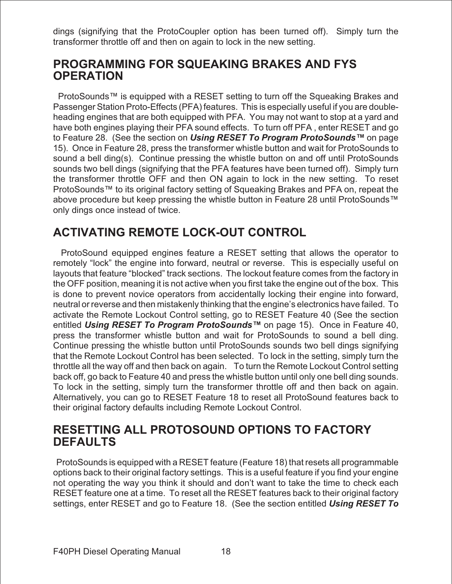dings (signifying that the ProtoCoupler option has been turned off). Simply turn the transformer throttle off and then on again to lock in the new setting.

### **PROGRAMMING FOR SQUEAKING BRAKES AND FYS OPERATION**

ProtoSounds™ is equipped with a RESET setting to turn off the Squeaking Brakes and Passenger Station Proto-Effects (PFA) features. This is especially useful if you are doubleheading engines that are both equipped with PFA. You may not want to stop at a yard and have both engines playing their PFA sound effects. To turn off PFA , enter RESET and go to Feature 28. (See the section on **Using RESET To Program ProtoSounds™** on page 15). Once in Feature 28, press the transformer whistle button and wait for ProtoSounds to sound a bell ding(s). Continue pressing the whistle button on and off until ProtoSounds sounds two bell dings (signifying that the PFA features have been turned off). Simply turn the transformer throttle OFF and then ON again to lock in the new setting. To reset ProtoSounds™ to its original factory setting of Squeaking Brakes and PFA on, repeat the above procedure but keep pressing the whistle button in Feature 28 until ProtoSounds™ only dings once instead of twice.

## **ACTIVATING REMOTE LOCK-OUT CONTROL**

ProtoSound equipped engines feature a RESET setting that allows the operator to remotely "lock" the engine into forward, neutral or reverse. This is especially useful on layouts that feature "blocked" track sections. The lockout feature comes from the factory in the OFF position, meaning it is not active when you first take the engine out of the box. This is done to prevent novice operators from accidentally locking their engine into forward, neutral or reverse and then mistakenly thinking that the engine's electronics have failed. To activate the Remote Lockout Control setting, go to RESET Feature 40 (See the section entitled **Using RESET To Program ProtoSounds™** on page 15). Once in Feature 40, press the transformer whistle button and wait for ProtoSounds to sound a bell ding. Continue pressing the whistle button until ProtoSounds sounds two bell dings signifying that the Remote Lockout Control has been selected. To lock in the setting, simply turn the throttle all the way off and then back on again. To turn the Remote Lockout Control setting back off, go back to Feature 40 and press the whistle button until only one bell ding sounds. To lock in the setting, simply turn the transformer throttle off and then back on again. Alternatively, you can go to RESET Feature 18 to reset all ProtoSound features back to their original factory defaults including Remote Lockout Control.

### **RESETTING ALL PROTOSOUND OPTIONS TO FACTORY DEFAULTS**

ProtoSounds is equipped with a RESET feature (Feature 18) that resets all programmable options back to their original factory settings. This is a useful feature if you find your engine not operating the way you think it should and don't want to take the time to check each RESET feature one at a time. To reset all the RESET features back to their original factory settings, enter RESET and go to Feature 18. (See the section entitled **Using RESET To**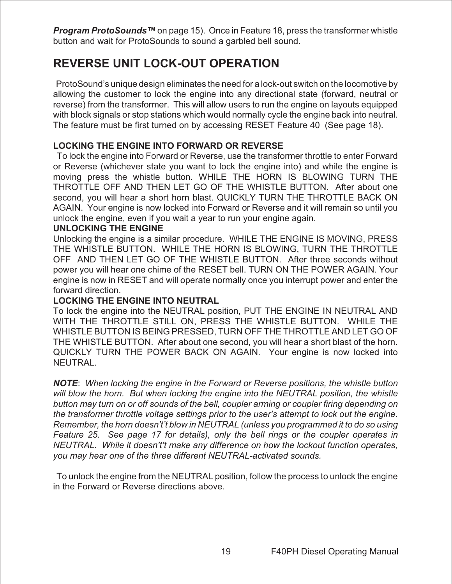**Program ProtoSounds™** on page 15). Once in Feature 18, press the transformer whistle button and wait for ProtoSounds to sound a garbled bell sound.

## **REVERSE UNIT LOCK-OUT OPERATION**

ProtoSound's unique design eliminates the need for a lock-out switch on the locomotive by allowing the customer to lock the engine into any directional state (forward, neutral or reverse) from the transformer. This will allow users to run the engine on layouts equipped with block signals or stop stations which would normally cycle the engine back into neutral. The feature must be first turned on by accessing RESET Feature 40 (See page 18).

#### **LOCKING THE ENGINE INTO FORWARD OR REVERSE**

To lock the engine into Forward or Reverse, use the transformer throttle to enter Forward or Reverse (whichever state you want to lock the engine into) and while the engine is moving press the whistle button. WHILE THE HORN IS BLOWING TURN THE THROTTLE OFF AND THEN LET GO OF THE WHISTLE BUTTON. After about one second, you will hear a short horn blast. QUICKLY TURN THE THROTTLE BACK ON AGAIN. Your engine is now locked into Forward or Reverse and it will remain so until you unlock the engine, even if you wait a year to run your engine again.

#### **UNLOCKING THE ENGINE**

Unlocking the engine is a similar procedure. WHILE THE ENGINE IS MOVING, PRESS THE WHISTLE BUTTON. WHILE THE HORN IS BLOWING, TURN THE THROTTLE OFF AND THEN LET GO OF THE WHISTLE BUTTON. After three seconds without power you will hear one chime of the RESET bell. TURN ON THE POWER AGAIN. Your engine is now in RESET and will operate normally once you interrupt power and enter the forward direction.

#### **LOCKING THE ENGINE INTO NEUTRAL**

To lock the engine into the NEUTRAL position, PUT THE ENGINE IN NEUTRAL AND WITH THE THROTTLE STILL ON, PRESS THE WHISTLE BUTTON. WHILE THE WHISTLE BUTTON IS BEING PRESSED, TURN OFF THE THROTTLE AND LET GO OF THE WHISTLE BUTTON. After about one second, you will hear a short blast of the horn. QUICKLY TURN THE POWER BACK ON AGAIN. Your engine is now locked into NEUTRAL.

**NOTE**: *When locking the engine in the Forward or Reverse positions, the whistle button will blow the horn. But when locking the engine into the NEUTRAL position, the whistle button may turn on or off sounds of the bell, coupler arming or coupler firing depending on the transformer throttle voltage settings prior to the user's attempt to lock out the engine. Remember, the horn doesn't't blow in NEUTRAL (unless you programmed it to do so using Feature 25. See page 17 for details), only the bell rings or the coupler operates in NEUTRAL. While it doesn't't make any difference on how the lockout function operates, you may hear one of the three different NEUTRAL-activated sounds.*

To unlock the engine from the NEUTRAL position, follow the process to unlock the engine in the Forward or Reverse directions above.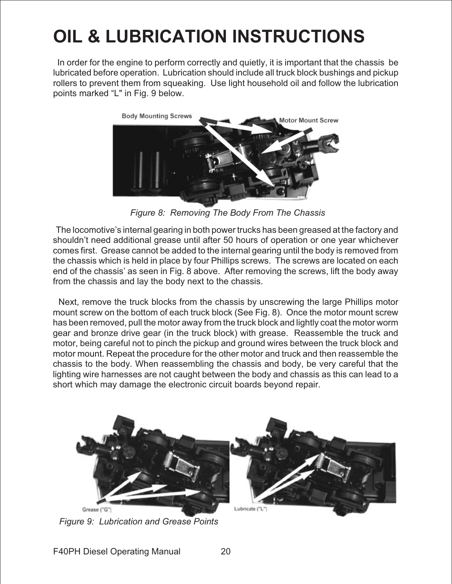# **OIL & LUBRICATION INSTRUCTIONS**

In order for the engine to perform correctly and quietly, it is important that the chassis be lubricated before operation. Lubrication should include all truck block bushings and pickup rollers to prevent them from squeaking. Use light household oil and follow the lubrication points marked "L" in Fig. 9 below.



*Figure 8: Removing The Body From The Chassis*

The locomotive's internal gearing in both power trucks has been greased at the factory and shouldn't need additional grease until after 50 hours of operation or one year whichever comes first. Grease cannot be added to the internal gearing until the body is removed from the chassis which is held in place by four Phillips screws. The screws are located on each end of the chassis' as seen in Fig. 8 above. After removing the screws, lift the body away from the chassis and lay the body next to the chassis.

Next, remove the truck blocks from the chassis by unscrewing the large Phillips motor mount screw on the bottom of each truck block (See Fig. 8). Once the motor mount screw has been removed, pull the motor away from the truck block and lightly coat the motor worm gear and bronze drive gear (in the truck block) with grease. Reassemble the truck and motor, being careful not to pinch the pickup and ground wires between the truck block and motor mount. Repeat the procedure for the other motor and truck and then reassemble the chassis to the body. When reassembling the chassis and body, be very careful that the lighting wire harnesses are not caught between the body and chassis as this can lead to a short which may damage the electronic circuit boards beyond repair.



*Figure 9: Lubrication and Grease Points*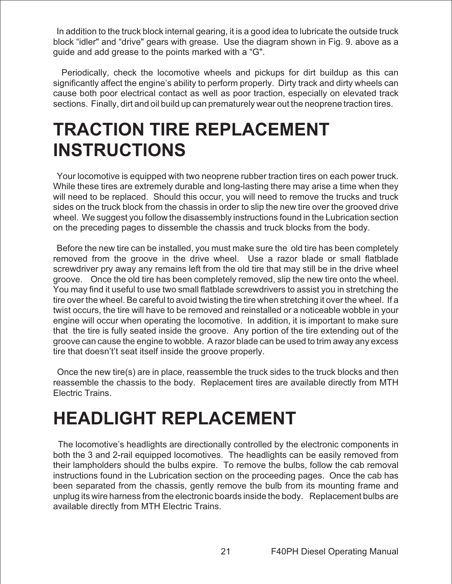In addition to the truck block internal gearing, it is a good idea to lubricate the outside truck block "idler" and "drive" gears with grease. Use the diagram shown in Fig. 9. above as a guide and add grease to the points marked with a "G".

Periodically, check the locomotive wheels and pickups for dirt buildup as this can significantly affect the engine's ability to perform properly. Dirty track and dirty wheels can cause both poor electrical contact as well as poor traction, especially on elevated track sections. Finally, dirt and oil build up can prematurely wear out the neoprene traction tires.

## **TRACTION TIRE REPLACEMENT INSTRUCTIONS**

Your locomotive is equipped with two neoprene rubber traction tires on each power truck. While these tires are extremely durable and long-lasting there may arise a time when they will need to be replaced. Should this occur, you will need to remove the trucks and truck sides on the truck block from the chassis in order to slip the new tire over the grooved drive wheel. We suggest you follow the disassembly instructions found in the Lubrication section on the preceding pages to dissemble the chassis and truck blocks from the body.

Before the new tire can be installed, you must make sure the old tire has been completely removed from the groove in the drive wheel. Use a razor blade or small flatblade screwdriver pry away any remains left from the old tire that may still be in the drive wheel groove. Once the old tire has been completely removed, slip the new tire onto the wheel. You may find it useful to use two small flatblade screwdrivers to assist you in stretching the tire over the wheel. Be careful to avoid twisting the tire when stretching it over the wheel. If a twist occurs, the tire will have to be removed and reinstalled or a noticeable wobble in your engine will occur when operating the locomotive. In addition, it is important to make sure that the tire is fully seated inside the groove. Any portion of the tire extending out of the groove can cause the engine to wobble. A razor blade can be used to trim away any excess tire that doesn't't seat itself inside the groove properly.

Once the new tire(s) are in place, reassemble the truck sides to the truck blocks and then reassemble the chassis to the body. Replacement tires are available directly from MTH Electric Trains.

## **HEADLIGHT REPLACEMENT**

The locomotive's headlights are directionally controlled by the electronic components in both the 3 and 2-rail equipped locomotives. The headlights can be easily removed from their lampholders should the bulbs expire. To remove the bulbs, follow the cab removal instructions found in the Lubrication section on the proceeding pages. Once the cab has been separated from the chassis, gently remove the bulb from its mounting frame and unplug its wire harness from the electronic boards inside the body. Replacement bulbs are available directly from MTH Electric Trains.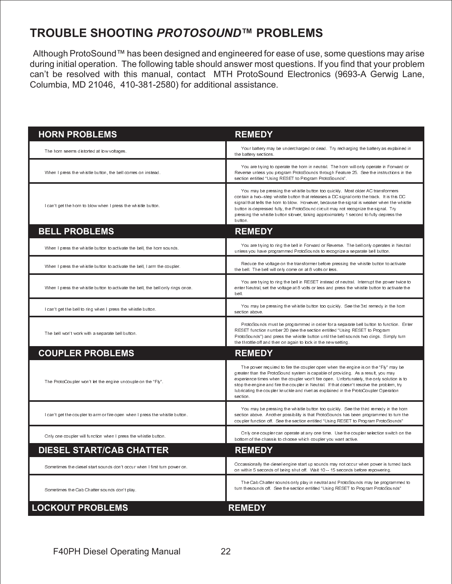## **TROUBLE SHOOTING PROTOSOUND™ PROBLEMS**

Although ProtoSound™ has been designed and engineered for ease of use, some questions may arise during initial operation. The following table should answer most questions. If you find that your problem can't be resolved with this manual, contact MTH ProtoSound Electronics (9693-A Gerwig Lane, Columbia, MD 21046, 410-381-2580) for additional assistance.

| <b>HORN PROBLEMS</b>                                                            | <b>REMEDY</b>                                                                                                                                                                                                                                                                                                                                                                                                                                                          |
|---------------------------------------------------------------------------------|------------------------------------------------------------------------------------------------------------------------------------------------------------------------------------------------------------------------------------------------------------------------------------------------------------------------------------------------------------------------------------------------------------------------------------------------------------------------|
| The horn seems distorted at low voltages.                                       | Your battery may be undercharged or dead. Try recharging the battery as explained in<br>the battery sections.                                                                                                                                                                                                                                                                                                                                                          |
| When I press the whistle button, the bell comes on instead.                     | You are trying to operate the horn in neutral. The horn will only operate in Forward or<br>Reverse unless you program ProtoSounds through Feature 25. See the instructions in the<br>section entitled "Using RESET to Program ProtoSounds"                                                                                                                                                                                                                             |
| I can't get the horn to blow when I press the whistle button.                   | You may be pressing the whistle button too quickly. Most older AC transformers<br>contain a two--step whistle button that releases a DC signal onto the track. It is this DC<br>signal that tells the horn to blow. However, because the signal is weaker when the whistle<br>button is depressed fully, the ProtoSound circuit may not recognize the signal. Try<br>pressing the whistle button slower, taking approximately 1 second to fully depress the<br>button. |
| <b>BELL PROBLEMS</b>                                                            | <b>REMEDY</b>                                                                                                                                                                                                                                                                                                                                                                                                                                                          |
| When I press the whistle button to activate the bell, the horn sounds.          | You are trying to ring the bell in Forward or Reverse. The bell only operates in Neutral<br>unless you have programmed ProtoSounds to recognize a separate bell button.                                                                                                                                                                                                                                                                                                |
| When I press the whistle button to activate the bell. I arm the coupler.        | Reduce the voltage on the transformer before pressing the whistle button to activate<br>the bell. The bell will only come on at 8 volts or less.                                                                                                                                                                                                                                                                                                                       |
| When I press the whistle button to activate the bell, the bell only rings once. | You are trying to ring the bell in RESET instead of neutral. Interrupt the power twice to<br>enter Neutral, set the voltage at 8 volts or less and press the whistle button to activate the<br>bell.                                                                                                                                                                                                                                                                   |
| I can't get the bell to ring when I press the whistle button.                   | You may be pressing the whistle button too quickly. See the 3rd remedy in the horn<br>section above                                                                                                                                                                                                                                                                                                                                                                    |
| The bell won't work with a separate bell button.                                | ProtoSounds must be programmed in order for a separate bell button to function. Enter<br>RESET function number 20 (see the section entitled "Using RESET to Program<br>ProtoSounds") and press the whistle button until the bell sounds two dings. Simply turn<br>the throttle off and then on again to lock in the new setting.                                                                                                                                       |
| <b>COUPLER PROBLEMS</b>                                                         | <b>REMEDY</b>                                                                                                                                                                                                                                                                                                                                                                                                                                                          |
| The ProtoCoupler won't let the engine uncouple on the "Fly".                    | The power required to fire the coupler open when the engine is on the "Fly" may be<br>greater than the ProtoSound system is capable of providing. As a result, you may<br>experience times when the coupler won't fire open. Unfortunately, the only solution is to<br>stop the engine and fire the coupler in Neutral. If that doesn't resolve the problem, try<br>lubricating the coupler knuckle and rivet as explained in the ProtoCoupler Operation<br>section.   |
| I can't get the coupler to arm or fire open when I press the whistle button.    | You may be pressing the whistle button too quickly. See the third remedy in the horn<br>section above. Another possibility is that ProtoSounds has been programmed to turn the<br>coupler function off. See the section entitled "Using RESET to Program ProtoSounds"                                                                                                                                                                                                  |
| Only one coupler will function when I press the whistle button.                 | Only one coupler can operate at any one time. Use the coupler selection switch on the<br>bottom of the chassis to choose which coupler you want active.                                                                                                                                                                                                                                                                                                                |
| <b>DIESEL START/CAB CHATTER</b>                                                 | <b>REMEDY</b>                                                                                                                                                                                                                                                                                                                                                                                                                                                          |
| Sometimes the diesel start sounds don't occur when I first turn power on.       | Occassionally the diesel engine start up sounds may not occur when power is turned back<br>on within 5 seconds of being shut off. Wait 10 - 15 seconds before repowering.                                                                                                                                                                                                                                                                                              |
| Sometimes the Cab Chatter sounds don't play.                                    | The Cab Chatter sounds only play in neutral and ProtoSounds may be programmed to<br>turn thesounds off. See the section entitled "Using RESET to Program ProtoSounds"                                                                                                                                                                                                                                                                                                  |
| <b>LOCKOUT PROBLEMS</b>                                                         | <b>REMEDY</b>                                                                                                                                                                                                                                                                                                                                                                                                                                                          |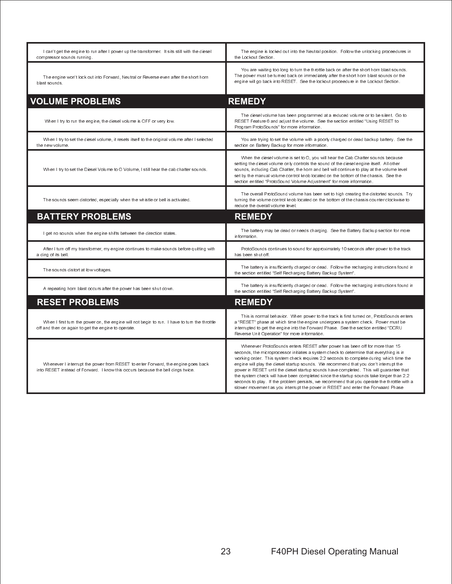| I can't get the engine to run after I power up the transformer. It sits still with the diesel<br>compressor sounds running                                          | The engine is locked out into the Neutral position. Follow the unlocking proceedures in<br>the Lockout Section.                                                                                                                                                                                                                                                                                                                                                                                                                                                                                                                                                                                                                     |  |  |
|---------------------------------------------------------------------------------------------------------------------------------------------------------------------|-------------------------------------------------------------------------------------------------------------------------------------------------------------------------------------------------------------------------------------------------------------------------------------------------------------------------------------------------------------------------------------------------------------------------------------------------------------------------------------------------------------------------------------------------------------------------------------------------------------------------------------------------------------------------------------------------------------------------------------|--|--|
| The engine won't lock out into Forward, Neutral or Reverse even after the short horn<br>blast sounds.                                                               | You are waiting too long to turn the throttle back on after the short horn blast sounds.<br>The power must be turned back on immediately after the short horn blast sounds or the<br>engine will go back into RESET. See the lockout proceedure in the Lockout Section.                                                                                                                                                                                                                                                                                                                                                                                                                                                             |  |  |
| <b>VOLUME PROBLEMS</b>                                                                                                                                              | <b>REMEDY</b>                                                                                                                                                                                                                                                                                                                                                                                                                                                                                                                                                                                                                                                                                                                       |  |  |
| When I try to run the engine, the diesel volume is OFF or very low.                                                                                                 | The diesel volume has been programmed at a reduced volume or to be silent Go to<br>RESET Feature 6 and adjust the volume. See the section entitled "Using RESET to<br>Program ProtoSounds" for more information.                                                                                                                                                                                                                                                                                                                                                                                                                                                                                                                    |  |  |
| When I try to set the diesel volume, it resets itself to the original volume after I selected<br>the new volume.                                                    | You are trying to set the volume with a poorly charged or dead backup battery. See the<br>section on Battery Backup for more information.                                                                                                                                                                                                                                                                                                                                                                                                                                                                                                                                                                                           |  |  |
| When I try to set the Diesel Volume to O Volume, I still hear the cab chatter sounds.                                                                               | When the diesel volume is set to O, you will hear the Cab Chatter sounds because<br>setting the diesel volume only controls the sound of the diesel engine itself. All other<br>sounds, including Cab Chatter, the horn and bell will continue to play at the volume level<br>set by the manual volume control knob located on the bottom of the chassis. See the<br>section entitled "ProtoSound Volume Adjustment" for more information.                                                                                                                                                                                                                                                                                          |  |  |
| The sounds seem distorted, especially when the whistle or bell is activated.                                                                                        | The overall ProtoSound volume has been set to high creating the distorted sounds. Try<br>turning the volume control knob located on the bottom of the chassis counter clockwise to<br>reduce the overall volume level                                                                                                                                                                                                                                                                                                                                                                                                                                                                                                               |  |  |
| <b>BATTERY PROBLEMS</b>                                                                                                                                             | <b>REMEDY</b>                                                                                                                                                                                                                                                                                                                                                                                                                                                                                                                                                                                                                                                                                                                       |  |  |
| I get no sounds when the engine shifts between the direction states.                                                                                                | The battery may be dead or needs charging. See the Battery Backup section for more<br>information.                                                                                                                                                                                                                                                                                                                                                                                                                                                                                                                                                                                                                                  |  |  |
| After I turn off my transformer, my engine continues to make sounds before quitting with<br>a ding of its bell.                                                     | ProtoSounds continues to sound for approximately 10 seconds after power to the track<br>has been shut off                                                                                                                                                                                                                                                                                                                                                                                                                                                                                                                                                                                                                           |  |  |
| The sounds distort at low voltages.                                                                                                                                 | The battery is insufficiently charged or dead. Follow the recharging instructions found in<br>the section entitled "Self Recharging Battery Backup System".                                                                                                                                                                                                                                                                                                                                                                                                                                                                                                                                                                         |  |  |
| A repeating horn blast occurs after the power has been shut down.                                                                                                   | The battery is insufficiently charged or dead. Follow the recharging instructions found in<br>the section entitled "Self Recharging Battery Backup System".                                                                                                                                                                                                                                                                                                                                                                                                                                                                                                                                                                         |  |  |
| <b>RESET PROBLEMS</b>                                                                                                                                               | <b>REMEDY</b>                                                                                                                                                                                                                                                                                                                                                                                                                                                                                                                                                                                                                                                                                                                       |  |  |
| When I first turn the power on, the engine will not begin to run. I have to turn the throttle<br>off and then on again to get the engine to operate.                | This is normal behavior. When power to the track is first turned on, ProtoSounds enters<br>a "RESET" phase at which time the engine undergoes a system check. Power must be<br>interrupted to get the engine into the Forward Phase. See the section entitled "DCRU<br>Reverse Unit Operation" for more information.                                                                                                                                                                                                                                                                                                                                                                                                                |  |  |
| Whenever I interrupt the power from RESET to enter Forward, the engine goes back<br>into RESET instead of Forward. I know this occurs because the bell dings twice. | Whenever ProtoSounds enters RESET after power has been off for more than 15<br>seconds, the microprocessor initiates a system check to determine that everything is in<br>working order. This system check requires 2.2 seconds to complete during which time the<br>engine will play the diesel startup sounds. We recommend that you don't interrupt the<br>power in RESET until the diesel startup sounds have completed. This will quarantee that<br>the system check will have been completed since the startup sounds take longer than 2.2<br>seconds to play. If the problem persists, we recommend that you operate the throttle with a<br>slower movement as you interrupt the power in RESET and enter the Forwaard Phase |  |  |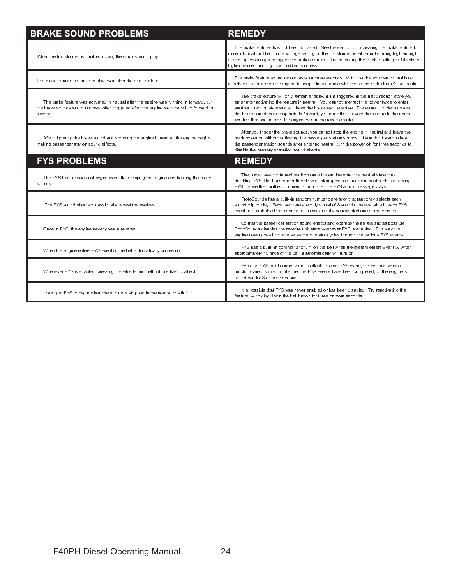| <b>BRAKE SOUND PROBLEMS</b>                                                                                                                                                                      | <b>REMEDY</b>                                                                                                                                                                                                                                                                                                                                                                                                                                                       |  |
|--------------------------------------------------------------------------------------------------------------------------------------------------------------------------------------------------|---------------------------------------------------------------------------------------------------------------------------------------------------------------------------------------------------------------------------------------------------------------------------------------------------------------------------------------------------------------------------------------------------------------------------------------------------------------------|--|
| When the transformer is throttled down, the sounds won't play.                                                                                                                                   | The brake features has not been activated. See the section on activating the brake feature for<br>more information. The throttle voltage setting on the transformer is either not starting high enough<br>or ending low enough to trigger the brakes sounds. Try increasing the throttle setting to 14 volts or<br>higher before throttling down to 8 volts or less.                                                                                                |  |
| The brake sounds continue to play even after the engine stops.                                                                                                                                   | The brake feature sound record lasts for three seconds. With practice you can control how<br>quickly you should stop the engine to keep it in sequence with the sound of the brake's squeaking.                                                                                                                                                                                                                                                                     |  |
| The brake feature was activated in neutral after the engine was running in forward, but<br>the brake sounds would not play when triggered after the engine went back into forward or<br>reverse. | The brake feature will only remain enabled if it is triggered in the first direction state you<br>enter after activating the feature in neutral. You cannot interrupt the power twice to enter<br>another direction state and still have the brake feature active. Therefore, in order to make<br>the brake sound feature operate in forward, you must first activate the feature in the neutral<br>position that occurs after the engine was in the reverse state. |  |
| After triggering the brake sound and stopping the engine in neutral, the engine begins<br>making passenger station sound effects.                                                                | After you trigger the brake sounds, you cannot stop the engine in neutral and leave the<br>track power on without activating the passenger station sounds. If you don't want to hear<br>the passenger station sounds after entering neutral, turn the power off for three seconds to<br>disable the passenger station sound effects.                                                                                                                                |  |
| <b>FYS PROBLEMS</b>                                                                                                                                                                              | <b>REMEDY</b>                                                                                                                                                                                                                                                                                                                                                                                                                                                       |  |
| The FYS feature does not begin even after stopping the engine and hearing the brake<br>sounds.                                                                                                   | The power was not turned back on once the engine enter the neutral state thus<br>disabling FYS.The transformer throttle was interrupted too quickly in neutral thus disabling<br>FYS. Leave the throttle on in neutral until after the FYS arrival message plays.                                                                                                                                                                                                   |  |
| The FYS sound effects occassionally repeat themselves.                                                                                                                                           | ProtoSounds has a built--in random number generator that randomly selects each<br>sound clip to play. Because there are only a total of 8 sound clips available in each FYS<br>event, it is probable that a sound can occassionally be repeated one or more times.                                                                                                                                                                                                  |  |
| Once in FYS, the engine never goes in reverse.                                                                                                                                                   | So that the passenger station sound effects and operation is as realistic as possible,<br>ProtoSounds disables the reverse unit state whenever FYS is enabled. This way the<br>engine never goes into reverse as the operator cycles through the various FYS events.                                                                                                                                                                                                |  |
| When the engine enters FYS event 5, the bell automatically comes on.                                                                                                                             | FYS has a built-in command to turn on the bell when the system enters Event 5. After<br>approximately 15 rings of the bell, it automatically will turn off.                                                                                                                                                                                                                                                                                                         |  |
| Whenever FYS is enabled, pressing the whistle and bell buttons has no affect                                                                                                                     | Because FYS must control various effects in each FYS event, the bell and whistle<br>functions are disabled until either the FYS events have been completed, or the engine is<br>shut down for 3 or more seconds.                                                                                                                                                                                                                                                    |  |
| I can't get FYS to begin when the engine is stopped in the neutral position.                                                                                                                     | It is possible that FYS was never enabled or has been disabled. Try reactivating the<br>feature by holding down the bell button for three or more seconds.                                                                                                                                                                                                                                                                                                          |  |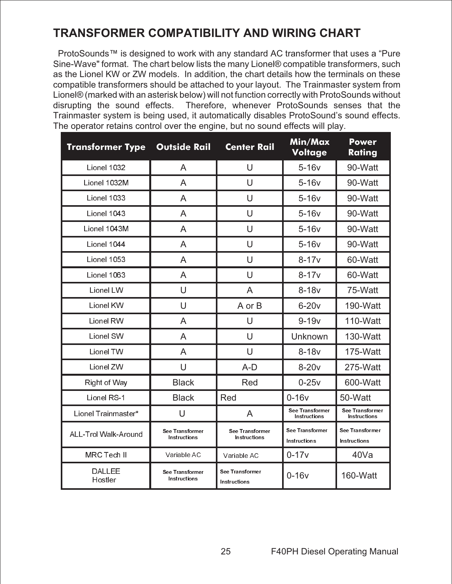## **TRANSFORMER COMPATIBILITY AND WIRING CHART**

ProtoSounds™ is designed to work with any standard AC transformer that uses a "Pure Sine-Wave" format. The chart below lists the many Lionel® compatible transformers, such as the Lionel KW or ZW models. In addition, the chart details how the terminals on these compatible transformers should be attached to your layout. The Trainmaster system from Lionel® (marked with an asterisk below) will not function correctly with ProtoSounds without disrupting the sound effects. Therefore, whenever ProtoSounds senses that the Trainmaster system is being used, it automatically disables ProtoSound's sound effects. The operator retains control over the engine, but no sound effects will play.

| <b>Transformer Type</b>  | <b>Outside Rail</b>             | <b>Center Rail</b>              | Min/Max<br><b>Voltage</b>       | <b>Power</b><br>Rating          |
|--------------------------|---------------------------------|---------------------------------|---------------------------------|---------------------------------|
| Lionel 1032              | A                               | U                               | $5-16v$                         | 90-Watt                         |
| Lionel 1032M             | A                               | U                               | $5-16v$                         | 90-Watt                         |
| Lionel 1033              | A                               | U                               | $5-16v$                         | 90-Watt                         |
| Lionel 1043              | A                               | U                               | $5-16v$                         | 90-Watt                         |
| Lionel 1043M             | A                               | U                               | $5-16v$                         | 90-Watt                         |
| Lionel 1044              | A                               | $\cup$                          | $5-16v$                         | 90-Watt                         |
| Lionel 1053              | A                               | U                               | $8 - 17v$                       | 60-Watt                         |
| Lionel 1063              | A                               | U                               | $8 - 17v$                       | 60-Watt                         |
| Lionel LW                | U                               | A                               | $8-18v$                         | 75-Watt                         |
| Lionel KW                | $\cup$                          | A or B                          | $6-20v$                         | 190-Watt                        |
| Lionel RW                | A                               | U                               | $9 - 19v$                       | 110-Watt                        |
| Lionel SW                | A                               | U                               | Unknown                         | 130-Watt                        |
| Lionel TW                | A                               | U                               | $8 - 18v$                       | 175-Watt                        |
| Lionel ZW                | U                               | $A-D$                           | $8-20v$                         | 275-Watt                        |
| Right of Way             | <b>Black</b>                    | Red                             | $0-25v$                         | 600-Watt                        |
| Lionel RS-1              | <b>Black</b>                    | Red                             | $0-16v$                         | 50-Watt                         |
| Lionel Trainmaster*      | U                               | A                               | See Transformer<br>Instructions | See Transformer<br>Instructions |
| ALL-Trol Walk-Around     | See Transformer<br>Instructions | See Transformer<br>Instructions | See Transformer<br>Instructions | See Transformer<br>Instructions |
| MRC Tech II              | Variable AC                     | Variable AC                     | $0 - 17v$                       | 40Va                            |
| <b>DALLEE</b><br>Hostler | See Transformer<br>Instructions | See Transformer<br>Instructions | $0-16v$                         | 160-Watt                        |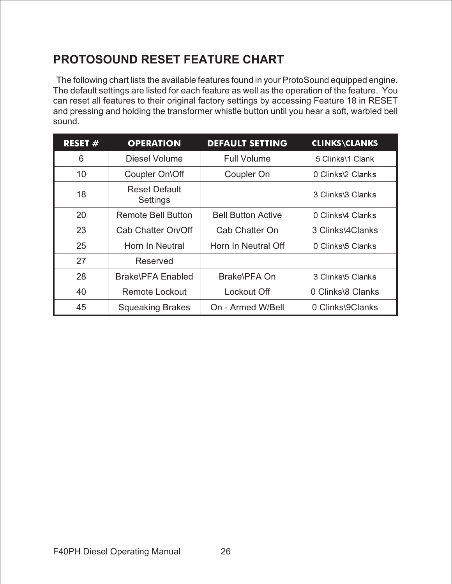## **PROTOSOUND RESET FEATURE CHART**

The following chart lists the available features found in your ProtoSound equipped engine. The default settings are listed for each feature as well as the operation of the feature. You can reset all features to their original factory settings by accessing Feature 18 in RESET and pressing and holding the transformer whistle button until you hear a soft, warbled bell sound.

| <b>RESET <math>#</math></b> | <b>OPERATION</b>                 | <b>DEFAULT SETTING</b>    | <b>CLINKS\CLANKS</b> |
|-----------------------------|----------------------------------|---------------------------|----------------------|
| 6                           | Diesel Volume                    | <b>Full Volume</b>        | 5 Clinks\1 Clank     |
| 10                          | Coupler On\Off                   | Coupler On                | 0 Clinks\2 Clanks    |
| 18                          | <b>Reset Default</b><br>Settings |                           | 3 Clinks\3 Clanks    |
| 20                          | Remote Bell Button               | <b>Bell Button Active</b> | 0 Clinks\4 Clanks    |
| 23                          | Cab Chatter On/Off               | Cab Chatter On            | 3 Clinks\4Clanks     |
| 25                          | Horn In Neutral                  | Horn In Neutral Off       | 0 Clinks\5 Clanks    |
| 27                          | Reserved                         |                           |                      |
| 28                          | <b>Brake\PFA Enabled</b>         | Brake\PFA On              | 3 Clinks\5 Clanks    |
| 40                          | Remote Lockout                   | Lockout Off               | 0 Clinks\8 Clanks    |
| 45                          | <b>Squeaking Brakes</b>          | On - Armed W/Bell         | 0 Clinks\9Clanks     |